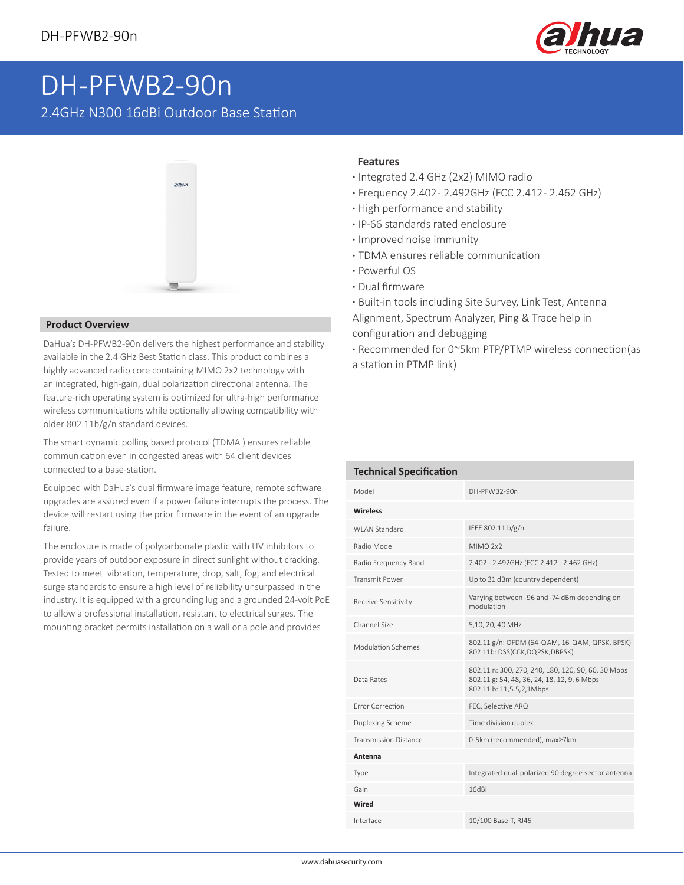

## DH-PFWB2-90n

2.4GHz N300 16dBi Outdoor Base Station



## **Product Overview**

DaHua's DH-PFWB2-90n delivers the highest performance and stability available in the 2.4 GHz Best Station class. This product combines a highly advanced radio core containing MIMO 2x2 technology with an integrated, high-gain, dual polarization directional antenna. The feature-rich operating system is optimized for ultra-high performance wireless communications while optionally allowing compatibility with older 802.11b/g/n standard devices.

The smart dynamic polling based protocol (TDMA ) ensures reliable communication even in congested areas with 64 client devices connected to a base-station.

Equipped with DaHua's dual firmware image feature, remote software upgrades are assured even if a power failure interrupts the process. The device will restart using the prior firmware in the event of an upgrade failure.

The enclosure is made of polycarbonate plastic with UV inhibitors to provide years of outdoor exposure in direct sunlight without cracking. Tested to meet vibration, temperature, drop, salt, fog, and electrical surge standards to ensure a high level of reliability unsurpassed in the industry. It is equipped with a grounding lug and a grounded 24-volt PoE to allow a professional installation, resistant to electrical surges. The mounting bracket permits installation on a wall or a pole and provides

## **Features**

- **·** Integrated 2.4 GHz (2x2) MIMO radio
- **·** Frequency 2.402 2.492GHz (FCC 2.412 2.462 GHz)
- **·** High performance and stability
- **·** IP-66 standards rated enclosure
- **·** Improved noise immunity
- **·** TDMA ensures reliable communication
- **·** Powerful OS
- **·** Dual firmware
- **·** Built-in tools including Site Survey, Link Test, Antenna Alignment, Spectrum Analyzer, Ping & Trace help in configuration and debugging
- **·** Recommended for 0~5km PTP/PTMP wireless connection(as a station in PTMP link)

| <b>Technical Specification</b> |                                                                                                                               |  |  |  |  |  |  |  |
|--------------------------------|-------------------------------------------------------------------------------------------------------------------------------|--|--|--|--|--|--|--|
| Model                          | DH-PFWB2-90n                                                                                                                  |  |  |  |  |  |  |  |
| <b>Wireless</b>                |                                                                                                                               |  |  |  |  |  |  |  |
| WI AN Standard                 | IEEE 802.11 b/g/n                                                                                                             |  |  |  |  |  |  |  |
| Radio Mode                     | MIMO <sub>2x2</sub>                                                                                                           |  |  |  |  |  |  |  |
| Radio Frequency Band           | 2.402 - 2.492GHz (FCC 2.412 - 2.462 GHz)                                                                                      |  |  |  |  |  |  |  |
| <b>Transmit Power</b>          | Up to 31 dBm (country dependent)                                                                                              |  |  |  |  |  |  |  |
| Receive Sensitivity            | Varying between -96 and -74 dBm depending on<br>modulation                                                                    |  |  |  |  |  |  |  |
| Channel Size                   | 5,10, 20, 40 MHz                                                                                                              |  |  |  |  |  |  |  |
| Modulation Schemes             | 802.11 g/n: OFDM (64-QAM, 16-QAM, QPSK, BPSK)<br>802.11b: DSS(CCK,DQPSK,DBPSK)                                                |  |  |  |  |  |  |  |
| Data Rates                     | 802.11 n: 300, 270, 240, 180, 120, 90, 60, 30 Mbps<br>802.11 g: 54, 48, 36, 24, 18, 12, 9, 6 Mbps<br>802.11 b: 11,5.5,2,1Mbps |  |  |  |  |  |  |  |
| <b>Frror Correction</b>        | FEC, Selective ARQ                                                                                                            |  |  |  |  |  |  |  |
| Duplexing Scheme               | Time division duplex                                                                                                          |  |  |  |  |  |  |  |
| <b>Transmission Distance</b>   | 0-5km (recommended), max≥7km                                                                                                  |  |  |  |  |  |  |  |
| Antenna                        |                                                                                                                               |  |  |  |  |  |  |  |
| Type                           | Integrated dual-polarized 90 degree sector antenna                                                                            |  |  |  |  |  |  |  |
| Gain                           | 16dBi                                                                                                                         |  |  |  |  |  |  |  |
| Wired                          |                                                                                                                               |  |  |  |  |  |  |  |
| Interface                      | 10/100 Base-T, RJ45                                                                                                           |  |  |  |  |  |  |  |
|                                |                                                                                                                               |  |  |  |  |  |  |  |